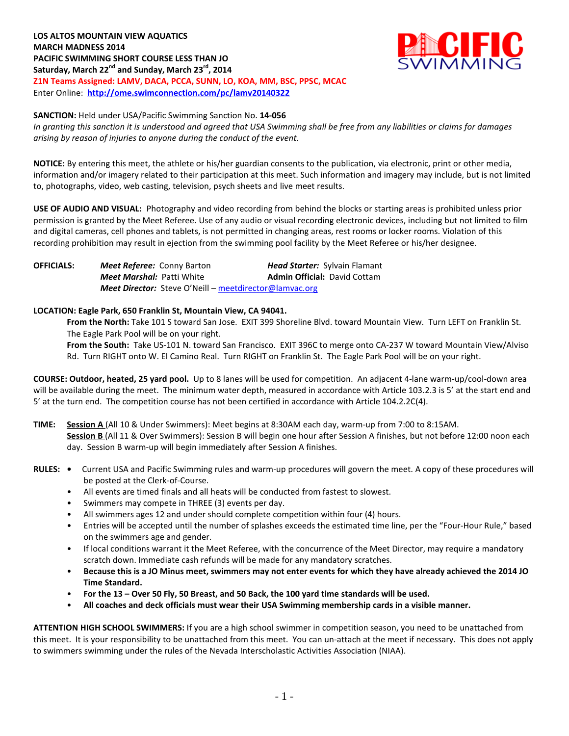

## **SANCTION:** Held under USA/Pacific Swimming Sanction No. **14-056**

*In granting this sanction it is understood and agreed that USA Swimming shall be free from any liabilities or claims for damages arising by reason of injuries to anyone during the conduct of the event.*

**NOTICE:** By entering this meet, the athlete or his/her guardian consents to the publication, via electronic, print or other media, information and/or imagery related to their participation at this meet. Such information and imagery may include, but is not limited to, photographs, video, web casting, television, psych sheets and live meet results.

**USE OF AUDIO AND VISUAL:** Photography and video recording from behind the blocks or starting areas is prohibited unless prior permission is granted by the Meet Referee. Use of any audio or visual recording electronic devices, including but not limited to film and digital cameras, cell phones and tablets, is not permitted in changing areas, rest rooms or locker rooms. Violation of this recording prohibition may result in ejection from the swimming pool facility by the Meet Referee or his/her designee.

**OFFICIALS:** *Meet Referee:* Conny Barton *Head Starter:* Sylvain Flamant *Meet Marshal: Patti White* **Admin Official: David Cottam** *Meet Director:* Steve O'Neill – [meetdirector@lamvac.org](mailto:meetdirector@lamvac.org)

## **LOCATION: Eagle Park, 650 Franklin St, Mountain View, CA 94041.**

**From the North:** Take 101 S toward San Jose. EXIT 399 Shoreline Blvd. toward Mountain View. Turn LEFT on Franklin St. The Eagle Park Pool will be on your right.

**From the South:** Take US-101 N. toward San Francisco. EXIT 396C to merge onto CA-237 W toward Mountain View/Alviso Rd. Turn RIGHT onto W. El Camino Real. Turn RIGHT on Franklin St. The Eagle Park Pool will be on your right.

**COURSE: Outdoor, heated, 25 yard pool.** Up to 8 lanes will be used for competition. An adjacent 4-lane warm-up/cool-down area will be available during the meet. The minimum water depth, measured in accordance with Article 103.2.3 is 5' at the start end and 5' at the turn end. The competition course has not been certified in accordance with Article 104.2.2C(4).

- **TIME: Session A** (All 10 & Under Swimmers): Meet begins at 8:30AM each day, warm-up from 7:00 to 8:15AM. **Session B** (All 11 & Over Swimmers): Session B will begin one hour after Session A finishes, but not before 12:00 noon each day. Session B warm-up will begin immediately after Session A finishes.
- **RULES:** Current USA and Pacific Swimming rules and warm-up procedures will govern the meet. A copy of these procedures will be posted at the Clerk-of-Course.
	- All events are timed finals and all heats will be conducted from fastest to slowest.
	- Swimmers may compete in THREE (3) events per day.
	- All swimmers ages 12 and under should complete competition within four (4) hours.
	- Entries will be accepted until the number of splashes exceeds the estimated time line, per the "Four-Hour Rule," based on the swimmers age and gender.
	- If local conditions warrant it the Meet Referee, with the concurrence of the Meet Director, may require a mandatory scratch down. Immediate cash refunds will be made for any mandatory scratches.
	- **Because this is a JO Minus meet, swimmers may not enter events for which they have already achieved the 2014 JO Time Standard.**
	- **For the 13 – Over 50 Fly, 50 Breast, and 50 Back, the 100 yard time standards will be used.**
	- **All coaches and deck officials must wear their USA Swimming membership cards in a visible manner.**

**ATTENTION HIGH SCHOOL SWIMMERS:** If you are a high school swimmer in competition season, you need to be unattached from this meet. It is your responsibility to be unattached from this meet. You can un-attach at the meet if necessary. This does not apply to swimmers swimming under the rules of the Nevada Interscholastic Activities Association (NIAA).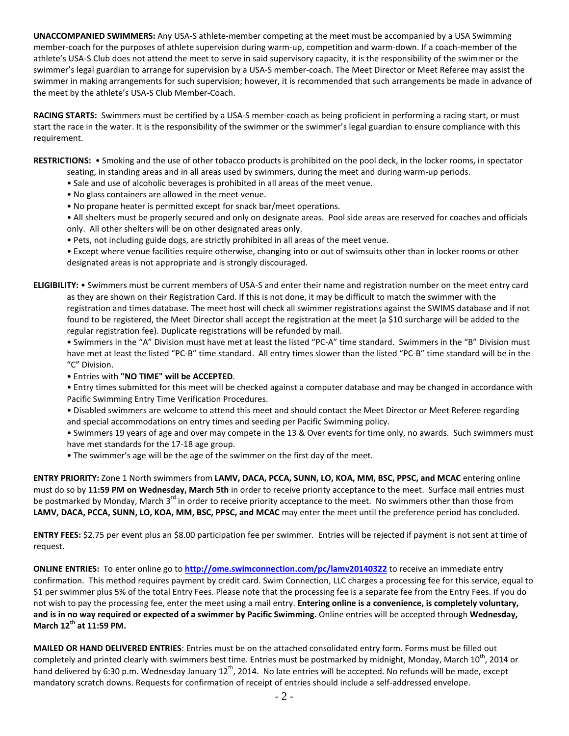**UNACCOMPANIED SWIMMERS:** Any USA-S athlete-member competing at the meet must be accompanied by a USA Swimming member-coach for the purposes of athlete supervision during warm-up, competition and warm-down. If a coach-member of the athlete's USA-S Club does not attend the meet to serve in said supervisory capacity, it is the responsibility of the swimmer or the swimmer's legal guardian to arrange for supervision by a USA-S member-coach. The Meet Director or Meet Referee may assist the swimmer in making arrangements for such supervision; however, it is recommended that such arrangements be made in advance of the meet by the athlete's USA-S Club Member-Coach.

**RACING STARTS:** Swimmers must be certified by a USA-S member-coach as being proficient in performing a racing start, or must start the race in the water. It is the responsibility of the swimmer or the swimmer's legal guardian to ensure compliance with this requirement.

**RESTRICTIONS:** • Smoking and the use of other tobacco products is prohibited on the pool deck, in the locker rooms, in spectator seating, in standing areas and in all areas used by swimmers, during the meet and during warm-up periods.

- Sale and use of alcoholic beverages is prohibited in all areas of the meet venue.
- No glass containers are allowed in the meet venue.
- No propane heater is permitted except for snack bar/meet operations.

• All shelters must be properly secured and only on designate areas. Pool side areas are reserved for coaches and officials only. All other shelters will be on other designated areas only.

• Pets, not including guide dogs, are strictly prohibited in all areas of the meet venue.

• Except where venue facilities require otherwise, changing into or out of swimsuits other than in locker rooms or other designated areas is not appropriate and is strongly discouraged.

**ELIGIBILITY:** • Swimmers must be current members of USA-S and enter their name and registration number on the meet entry card as they are shown on their Registration Card. If this is not done, it may be difficult to match the swimmer with the registration and times database. The meet host will check all swimmer registrations against the SWIMS database and if not found to be registered, the Meet Director shall accept the registration at the meet (a \$10 surcharge will be added to the regular registration fee). Duplicate registrations will be refunded by mail.

• Swimmers in the "A" Division must have met at least the listed "PC-A" time standard. Swimmers in the "B" Division must have met at least the listed "PC-B" time standard. All entry times slower than the listed "PC-B" time standard will be in the "C" Division.

• Entries with **"NO TIME" will be ACCEPTED**.

• Entry times submitted for this meet will be checked against a computer database and may be changed in accordance with Pacific Swimming Entry Time Verification Procedures.

• Disabled swimmers are welcome to attend this meet and should contact the Meet Director or Meet Referee regarding and special accommodations on entry times and seeding per Pacific Swimming policy.

• Swimmers 19 years of age and over may compete in the 13 & Over events for time only, no awards. Such swimmers must have met standards for the 17-18 age group.

• The swimmer's age will be the age of the swimmer on the first day of the meet.

**ENTRY PRIORITY:** Zone 1 North swimmers from **LAMV, DACA, PCCA, SUNN, LO, KOA, MM, BSC, PPSC, and MCAC** entering online must do so by **11:59 PM on Wednesday, March 5th** in order to receive priority acceptance to the meet. Surface mail entries must be postmarked by Monday, March 3<sup>rd</sup> in order to receive priority acceptance to the meet. No swimmers other than those from **LAMV, DACA, PCCA, SUNN, LO, KOA, MM, BSC, PPSC, and MCAC** may enter the meet until the preference period has concluded.

**ENTRY FEES:** \$2.75 per event plus an \$8.00 participation fee per swimmer. Entries will be rejected if payment is not sent at time of request.

**ONLINE ENTRIES:** To enter online go to **<http://ome.swimconnection.com/pc/lamv20140322>** to receive an immediate entry confirmation. This method requires payment by credit card. Swim Connection, LLC charges a processing fee for this service, equal to \$1 per swimmer plus 5% of the total Entry Fees. Please note that the processing fee is a separate fee from the Entry Fees. If you do not wish to pay the processing fee, enter the meet using a mail entry. **Entering online is a convenience, is completely voluntary, and is in no way required or expected of a swimmer by Pacific Swimming.** Online entries will be accepted through **Wednesday, March 12th at 11:59 PM.**

**MAILED OR HAND DELIVERED ENTRIES**: Entries must be on the attached consolidated entry form. Forms must be filled out completely and printed clearly with swimmers best time. Entries must be postmarked by midnight, Monday, March  $10^{th}$ , 2014 or hand delivered by 6:30 p.m. Wednesday January  $12^{th}$ , 2014. No late entries will be accepted. No refunds will be made, except mandatory scratch downs. Requests for confirmation of receipt of entries should include a self-addressed envelope.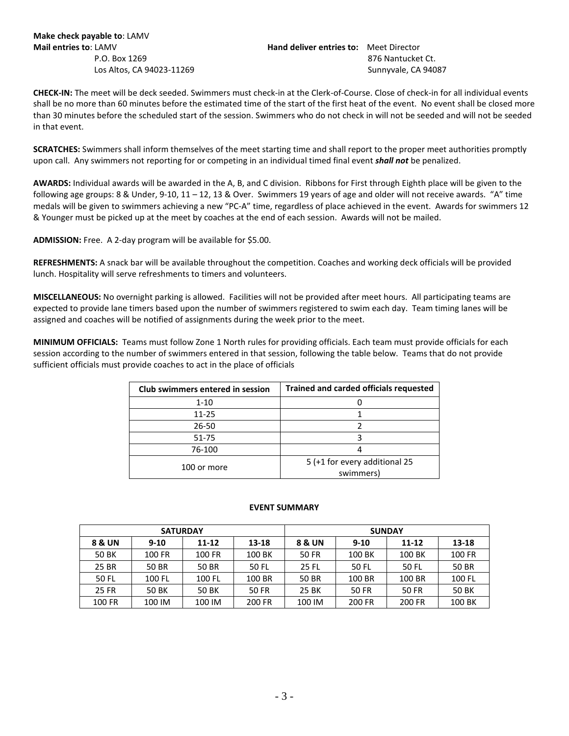**Make check payable to**: LAMV

**Mail entries to**: LAMV **Hand deliver entries to:** Meet Director P.O. Box 1269 876 Nantucket Ct. **Los Altos, CA 94023-11269 Sunnyvale, CA 94087** 

**CHECK-IN:** The meet will be deck seeded. Swimmers must check-in at the Clerk-of-Course. Close of check-in for all individual events shall be no more than 60 minutes before the estimated time of the start of the first heat of the event. No event shall be closed more than 30 minutes before the scheduled start of the session. Swimmers who do not check in will not be seeded and will not be seeded in that event.

**SCRATCHES:** Swimmers shall inform themselves of the meet starting time and shall report to the proper meet authorities promptly upon call. Any swimmers not reporting for or competing in an individual timed final event *shall not* be penalized.

**AWARDS:** Individual awards will be awarded in the A, B, and C division. Ribbons for First through Eighth place will be given to the following age groups: 8 & Under, 9-10, 11 – 12, 13 & Over. Swimmers 19 years of age and older will not receive awards. "A" time medals will be given to swimmers achieving a new "PC-A" time, regardless of place achieved in the event. Awards for swimmers 12 & Younger must be picked up at the meet by coaches at the end of each session. Awards will not be mailed.

**ADMISSION:** Free. A 2-day program will be available for \$5.00.

**REFRESHMENTS:** A snack bar will be available throughout the competition. Coaches and working deck officials will be provided lunch. Hospitality will serve refreshments to timers and volunteers.

**MISCELLANEOUS:** No overnight parking is allowed. Facilities will not be provided after meet hours. All participating teams are expected to provide lane timers based upon the number of swimmers registered to swim each day. Team timing lanes will be assigned and coaches will be notified of assignments during the week prior to the meet.

**MINIMUM OFFICIALS:** Teams must follow Zone 1 North rules for providing officials. Each team must provide officials for each session according to the number of swimmers entered in that session, following the table below. Teams that do not provide sufficient officials must provide coaches to act in the place of officials

| Club swimmers entered in session | <b>Trained and carded officials requested</b> |  |  |  |  |  |
|----------------------------------|-----------------------------------------------|--|--|--|--|--|
| $1 - 10$                         |                                               |  |  |  |  |  |
| $11 - 25$                        |                                               |  |  |  |  |  |
| 26-50                            |                                               |  |  |  |  |  |
| 51-75                            |                                               |  |  |  |  |  |
| 76-100                           |                                               |  |  |  |  |  |
| 100 or more                      | 5 (+1 for every additional 25                 |  |  |  |  |  |
|                                  | swimmers)                                     |  |  |  |  |  |

## **EVENT SUMMARY**

|        | <b>SATURDAY</b> |        |        | <b>SUNDAY</b> |          |        |           |  |  |
|--------|-----------------|--------|--------|---------------|----------|--------|-----------|--|--|
| 8 & UN | $9 - 10$        | 11-12  | 13-18  | 8 & UN        | $9 - 10$ | 11-12  | $13 - 18$ |  |  |
| 50 BK  | 100 FR          | 100 FR | 100 BK | 50 FR         | 100 BK   | 100 BK | 100 FR    |  |  |
| 25 BR  | 50 BR           | 50 BR  | 50 FL  | 25 FL         | 50 FL    | 50 FL  | 50 BR     |  |  |
| 50 FL  | 100 FL          | 100 FL | 100 BR | 50 BR         | 100 BR   | 100 BR | 100 FL    |  |  |
| 25 FR  | 50 BK           | 50 BK  | 50 FR  | 25 BK         | 50 FR    | 50 FR  | 50 BK     |  |  |
| 100 FR | 100 IM          | 100 IM | 200 FR | 100 IM        | 200 FR   | 200 FR | 100 BK    |  |  |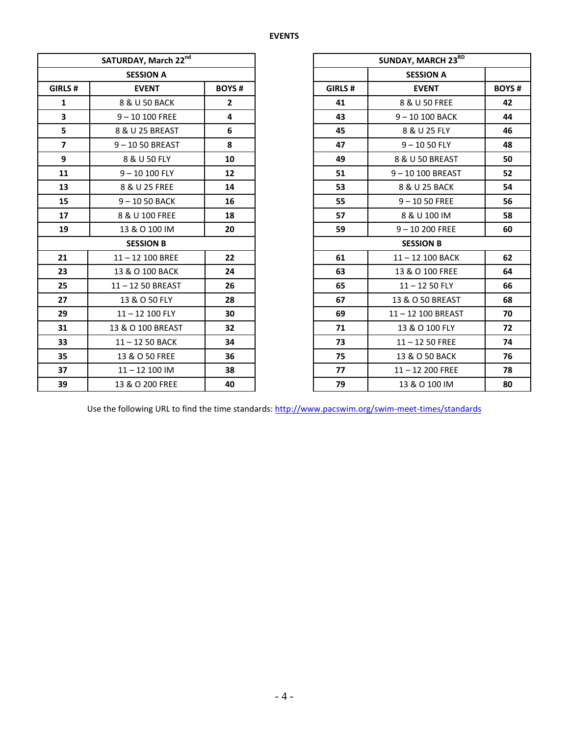## **EVENTS**

|                         | SATURDAY, March 22nd |                |         | SUNDAY, MARCH 23RD |
|-------------------------|----------------------|----------------|---------|--------------------|
|                         | <b>SESSION A</b>     |                |         | <b>SESSION A</b>   |
| GIRLS#                  | <b>EVENT</b>         | <b>BOYS#</b>   | GIRLS # | <b>EVENT</b>       |
| 1                       | 8 & U 50 BACK        | $\overline{2}$ | 41      | 8 & U 50 FREE      |
| 3                       | $9 - 10100$ FREE     | 4              | 43      | 9-10 100 BACK      |
| 5                       | 8 & U 25 BREAST      | 6              | 45      | 8 & U 25 FLY       |
| $\overline{\mathbf{z}}$ | 9-1050 BREAST        | 8              | 47      | $9 - 1050$ FLY     |
| 9                       | 8 & U 50 FLY         | 10             | 49      | 8 & U 50 BREAST    |
| 11                      | $9 - 10100$ FLY      | 12             | 51      | 9-10 100 BREAST    |
| 13                      | 8 & U 25 FREE        | 14             | 53      | 8 & U 25 BACK      |
| 15                      | $9 - 1050$ BACK      | 16             | 55      | $9 - 1050$ FREE    |
| 17                      | 8 & U 100 FREE       | 18             | 57      | 8 & U 100 IM       |
| 19                      | 13 & O 100 IM        | 20             | 59      | $9 - 10200$ FREE   |
|                         | <b>SESSION B</b>     |                |         | <b>SESSION B</b>   |
| 21                      | $11 - 12$ 100 BREE   | 22             | 61      | 11-12 100 BACK     |
| 23                      | 13 & O 100 BACK      | 24             | 63      | 13 & O 100 FREE    |
| 25                      | 11-12 50 BREAST      | 26             | 65      | $11 - 1250$ FLY    |
| 27                      | 13 & O 50 FLY        | 28             | 67      | 13 & O 50 BREAST   |
| 29                      | 11-12 100 FLY        | 30             | 69      | 11-12 100 BREAST   |
| 31                      | 13 & O 100 BREAST    | 32             | 71      | 13 & O 100 FLY     |
| 33                      | $11 - 1250$ BACK     | 34             | 73      | $11 - 1250$ FREE   |
| 35                      | 13 & O 50 FREE       | 36             | 75      | 13 & O 50 BACK     |
| 37                      | $11 - 12$ 100 IM     | 38             | 77      | $11 - 12200$ FREE  |
| 39                      | 13 & O 200 FREE      | 40             | 79      | 13 & O 100 IM      |

|                         | SATURDAY, March 22nd |                         |         | SUNDAY, MARCH 23RD |              |
|-------------------------|----------------------|-------------------------|---------|--------------------|--------------|
|                         | <b>SESSION A</b>     |                         |         | <b>SESSION A</b>   |              |
| GIRLS#                  | <b>EVENT</b>         | <b>BOYS#</b>            | GIRLS # | <b>EVENT</b>       | <b>BOYS#</b> |
| $\mathbf{1}$            | 8 & U 50 BACK        | $\overline{2}$          | 41      | 8 & U 50 FREE      | 42           |
| $\overline{\mathbf{3}}$ | $9 - 10100$ FREE     | $\overline{\mathbf{4}}$ | 43      | 9-10 100 BACK      | 44           |
| 5                       | 8 & U 25 BREAST      | 6                       | 45      | 8 & U 25 FLY       | 46           |
| $\overline{7}$          | $9 - 1050$ BREAST    | 8                       | 47      | $9 - 1050$ FLY     | 48           |
| 9                       | 8 & U 50 FLY         | 10                      | 49      | 8 & U 50 BREAST    | 50           |
| 11                      | $9 - 10100$ FLY      | 12                      | 51      | 9-10 100 BREAST    | 52           |
| 13                      | 8 & U 25 FREE        | 14                      | 53      | 8 & U 25 BACK      | 54           |
| 15                      | $9 - 1050$ BACK      | 16                      | 55      | $9 - 1050$ FREE    | 56           |
| 17                      | 8 & U 100 FREE       | 18                      | 57      | 8 & U 100 IM       | 58           |
| 19                      | 13 & O 100 IM        | 20                      | 59      | $9 - 10200$ FREE   | 60           |
|                         | <b>SESSION B</b>     |                         |         | <b>SESSION B</b>   |              |
| 21                      | $11 - 12$ 100 BREE   | 22                      | 61      | 11-12 100 BACK     | 62           |
| 23                      | 13 & O 100 BACK      | 24                      | 63      | 13 & O 100 FREE    | 64           |
| 25                      | 11-12 50 BREAST      | 26                      | 65      | $11 - 1250$ FLY    | 66           |
| 27                      | 13 & O 50 FLY        | 28                      | 67      | 13 & O 50 BREAST   | 68           |
| 29                      | $11 - 12$ 100 FLY    | 30                      | 69      | 11-12 100 BREAST   | 70           |
| 31                      | 13 & O 100 BREAST    | 32                      | 71      | 13 & O 100 FLY     | 72           |
| 33                      | 11-12 50 BACK        | 34                      | 73      | $11 - 1250$ FREE   | 74           |
| 35                      | 13 & O 50 FREE       | 36                      | 75      | 13 & O 50 BACK     | 76           |
| 37                      | $11 - 12100$ IM      | 38                      | 77      | $11 - 12200$ FREE  | 78           |
| 39                      | 13 & O 200 FREE      | 40                      | 79      | 13 & O 100 IM      | 80           |

Use the following URL to find the time standards:<http://www.pacswim.org/swim-meet-times/standards>